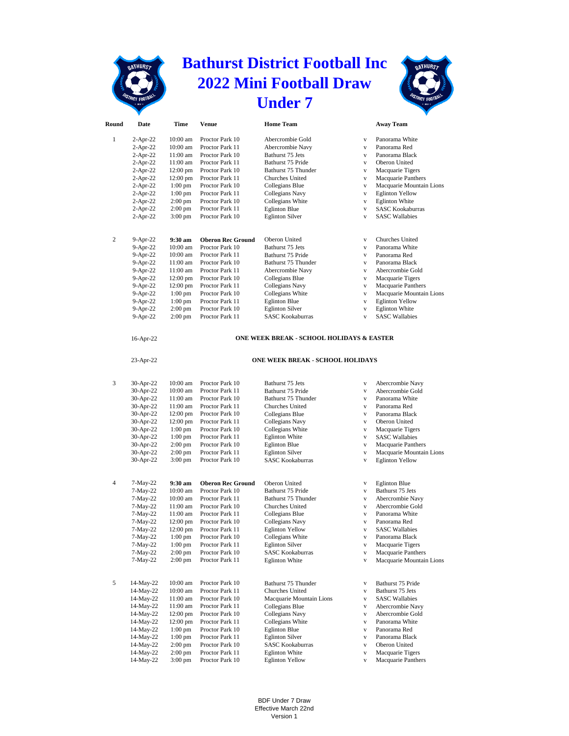## **Bathurst District Football Inc 2022 Mini Football Draw Under 7**



|              |                          |                        |                                    | UNUEL                                                |                              |                                                  |
|--------------|--------------------------|------------------------|------------------------------------|------------------------------------------------------|------------------------------|--------------------------------------------------|
| Round        | Date                     | Time                   | <b>Venue</b>                       | <b>Home Team</b>                                     |                              | <b>Away Team</b>                                 |
| $\mathbf{1}$ | $2$ -Apr-22              | 10:00 am               | Proctor Park 10                    | Abercrombie Gold                                     | $\mathbf{V}$                 | Panorama White                                   |
|              | $2-Apr-22$               | 10:00 am               | Proctor Park 11                    | Abercrombie Navy                                     | $\mathbf{V}$                 | Panorama Red                                     |
|              | $2-Apr-22$               | 11:00 am               | Proctor Park 10                    | Bathurst 75 Jets                                     | $\mathbf{V}$                 | Panorama Black                                   |
|              | $2-Apr-22$               | 11:00 am               | Proctor Park 11                    | Bathurst 75 Pride                                    | $\mathbf{V}$                 | Oberon United                                    |
|              | $2-Apr-22$               | $12:00 \text{ pm}$     | Proctor Park 10                    | Bathurst 75 Thunder                                  | $\mathbf{V}$                 | Macquarie Tigers                                 |
|              | $2-Apr-22$               | $12:00 \text{ pm}$     | Proctor Park 11                    | Churches United                                      | $\mathbf{V}$                 | Macquarie Panthers                               |
|              | $2-Apr-22$               | $1:00$ pm              | Proctor Park 10                    | Collegians Blue                                      | $\mathbf{V}$                 | Macquarie Mountain Lions                         |
|              | $2-Apr-22$               | $1:00$ pm              | Proctor Park 11                    | Collegians Navy                                      | $\mathbf{V}$                 | <b>Eglinton Yellow</b>                           |
|              | $2-Apr-22$               | $2:00$ pm              | Proctor Park 10                    | Collegians White                                     | $\mathbf{V}$                 | <b>Eglinton White</b>                            |
|              | $2-Apr-22$<br>$2-Apr-22$ | $2:00$ pm<br>$3:00$ pm | Proctor Park 11<br>Proctor Park 10 | <b>Eglinton Blue</b><br><b>Eglinton Silver</b>       | $\mathbf{V}$<br>$\mathbf{V}$ | <b>SASC Kookaburras</b><br><b>SASC Wallabies</b> |
|              |                          |                        |                                    |                                                      |                              |                                                  |
| 2            | $9-Apr-22$               | $9:30 \text{ am}$      | <b>Oberon Rec Ground</b>           | Oberon United                                        | $\mathbf{V}$                 | Churches United                                  |
|              | 9-Apr-22                 | 10:00 am               | Proctor Park 10                    | Bathurst 75 Jets                                     | $\mathbf{V}$                 | Panorama White                                   |
|              | 9-Apr-22                 | 10:00 am               | Proctor Park 11                    | Bathurst 75 Pride                                    | $\mathbf{V}$                 | Panorama Red                                     |
|              | 9-Apr-22                 | 11:00 am               | Proctor Park 10                    | Bathurst 75 Thunder                                  | $\mathbf{V}$                 | Panorama Black                                   |
|              | 9-Apr-22                 | 11:00 am               | Proctor Park 11                    | Abercrombie Navy                                     | $\mathbf{V}$                 | Abercrombie Gold                                 |
|              | 9-Apr-22                 | $12:00 \text{ pm}$     | Proctor Park 10                    | Collegians Blue                                      | $\mathbf{V}$                 | Macquarie Tigers                                 |
|              | 9-Apr-22                 | 12:00 pm               | Proctor Park 11                    | Collegians Navy                                      | $\mathbf{V}$                 | Macquarie Panthers                               |
|              | $9-Apr-22$               | $1:00$ pm              | Proctor Park 10                    | Collegians White                                     | $\mathbf{V}$                 | Macquarie Mountain Lions                         |
|              | 9-Apr-22                 | $1:00$ pm              | Proctor Park 11                    | <b>Eglinton Blue</b>                                 | $\mathbf{V}$                 | <b>Eglinton Yellow</b>                           |
|              | 9-Apr-22                 | $2:00 \text{ pm}$      | Proctor Park 10                    | <b>Eglinton Silver</b>                               | $\mathbf{V}$                 | <b>Eglinton White</b>                            |
|              | 9-Apr-22                 | $2:00$ pm              | Proctor Park 11                    | <b>SASC Kookaburras</b>                              | $\mathbf{V}$                 | <b>SASC Wallabies</b>                            |
|              | 16-Apr-22                |                        |                                    | <b>ONE WEEK BREAK - SCHOOL HOLIDAYS &amp; EASTER</b> |                              |                                                  |
|              | 23-Apr-22                |                        |                                    | ONE WEEK BREAK - SCHOOL HOLIDAYS                     |                              |                                                  |
|              |                          |                        |                                    |                                                      |                              |                                                  |
| 3            | 30-Apr-22                | $10:00$ am             | Proctor Park 10                    | Bathurst 75 Jets                                     | $\mathbf{V}$                 | Abercrombie Navy                                 |
|              | 30-Apr-22                | 10:00 am<br>11:00 am   | Proctor Park 11<br>Proctor Park 10 | Bathurst 75 Pride<br>Bathurst 75 Thunder             | $\mathbf{V}$<br>$\mathbf{V}$ | Abercrombie Gold<br>Panorama White               |
|              | 30-Apr-22                | 11:00 am               | Proctor Park 11                    | Churches United                                      | $\mathbf{V}$                 | Panorama Red                                     |
|              | 30-Apr-22<br>30-Apr-22   | $12:00 \text{ pm}$     | Proctor Park 10                    | Collegians Blue                                      | $\mathbf{V}$                 | Panorama Black                                   |
|              | 30-Apr-22                | $12:00 \text{ pm}$     | Proctor Park 11                    | Collegians Navy                                      | $\mathbf{V}$                 | Oberon United                                    |
|              | 30-Apr-22                | $1:00$ pm              | Proctor Park 10                    | Collegians White                                     | $\mathbf{V}$                 | Macquarie Tigers                                 |
|              | 30-Apr-22                | $1:00$ pm              | Proctor Park 11                    | <b>Eglinton White</b>                                | $\mathbf{V}$                 | <b>SASC Wallabies</b>                            |
|              | 30-Apr-22                | $2:00 \text{ pm}$      | Proctor Park 10                    | <b>Eglinton Blue</b>                                 | $\mathbf{V}$                 | Macquarie Panthers                               |
|              | 30-Apr-22                | $2:00$ pm              | Proctor Park 11                    | <b>Eglinton Silver</b>                               | $\mathbf{V}$                 | Macquarie Mountain Lions                         |
|              | 30-Apr-22                | $3:00 \text{ pm}$      | Proctor Park 10                    | <b>SASC Kookaburras</b>                              | $\mathbf{V}$                 | <b>Eglinton Yellow</b>                           |
|              |                          |                        |                                    |                                                      |                              |                                                  |
| 4            | $7-May-22$               | 9:30 am                | <b>Oberon Rec Ground</b>           | Oberon United                                        | $\mathbf{V}$                 | <b>Eglinton Blue</b>                             |
|              | 7-May-22                 | 10:00 am               | Proctor Park 10                    | Bathurst 75 Pride                                    | $\mathbf{V}$                 | Bathurst 75 Jets                                 |
|              | 7-May-22                 | 10:00 am               | Proctor Park 11                    | Bathurst 75 Thunder                                  | $\mathbf{V}$                 | Abercrombie Navy                                 |
|              | 7-May-22                 | 11:00 am               | Proctor Park 10                    | Churches United                                      | $\mathbf{V}$                 | Abercrombie Gold                                 |
|              | 7-May-22                 | 11:00 am               | Proctor Park 11                    | Collegians Blue                                      | $\mathbf v$                  | Panorama White                                   |
|              | 7-May-22                 | 12:00 pm               | Proctor Park 10                    | Collegians Navy                                      | v                            | Panorama Red                                     |
|              | 7-May-22                 | 12:00 pm               | Proctor Park 11                    | <b>Eglinton Yellow</b>                               | $\mathbf{V}$                 | <b>SASC Wallabies</b>                            |
|              | 7-May-22                 | $1:00$ pm              | Proctor Park 10                    | Collegians White                                     | $\mathbf{V}$                 | Panorama Black                                   |
|              | 7-May-22                 | $1:00$ pm              | Proctor Park 11                    | <b>Eglinton Silver</b>                               | $\mathbf{V}$                 | Macquarie Tigers                                 |
|              | 7-May-22                 | $2:00$ pm              | Proctor Park 10                    | <b>SASC Kookaburras</b>                              | $\mathbf{V}$                 | Macquarie Panthers                               |
|              | 7-May-22                 | $2:00$ pm              | Proctor Park 11                    | <b>Eglinton White</b>                                | $\mathbf{V}$                 | Macquarie Mountain Lions                         |
| 5            | 14-May-22                | 10:00 am               | Proctor Park 10                    | Bathurst 75 Thunder                                  | $_{\rm V}$                   | Bathurst 75 Pride                                |
|              | 14-May-22                | 10:00 am               | Proctor Park 11                    | Churches United                                      | $\mathbf V$                  | Bathurst 75 Jets                                 |
|              | 14-May-22                | 11:00 am               | Proctor Park 10                    | Macquarie Mountain Lions                             | $\mathbf V$                  | <b>SASC Wallabies</b>                            |
|              | 14-May-22                | 11:00 am               | Proctor Park 11                    | Collegians Blue                                      | $\mathbf{V}$                 | Abercrombie Navy                                 |
|              | 14-May-22                | 12:00 pm               | Proctor Park 10                    | Collegians Navy                                      | $\mathbf{V}$                 | Abercrombie Gold                                 |
|              | 14-May-22                | $12:00 \text{ pm}$     | Proctor Park 11                    | Collegians White                                     | $\mathbf V$                  | Panorama White                                   |
|              | 14-May-22                | $1:00$ pm              | Proctor Park 10                    | <b>Eglinton Blue</b>                                 | $\mathbf{V}$                 | Panorama Red                                     |
|              | 14-May-22                | $1:00$ pm              | Proctor Park 11                    | <b>Eglinton Silver</b>                               | $\mathbf{V}$                 | Panorama Black                                   |
|              | 14-May-22                | $2:00$ pm              | Proctor Park 10                    | <b>SASC Kookaburras</b>                              | $\mathbf V$                  | Oberon United                                    |
|              | 14-May-22                | $2:00$ pm              | Proctor Park 11                    | <b>Eglinton White</b>                                | $\mathbf{V}$                 | Macquarie Tigers                                 |

14-May-22 3:00 pm Proctor Park 10 Eglinton Yellow v Macquarie Panthers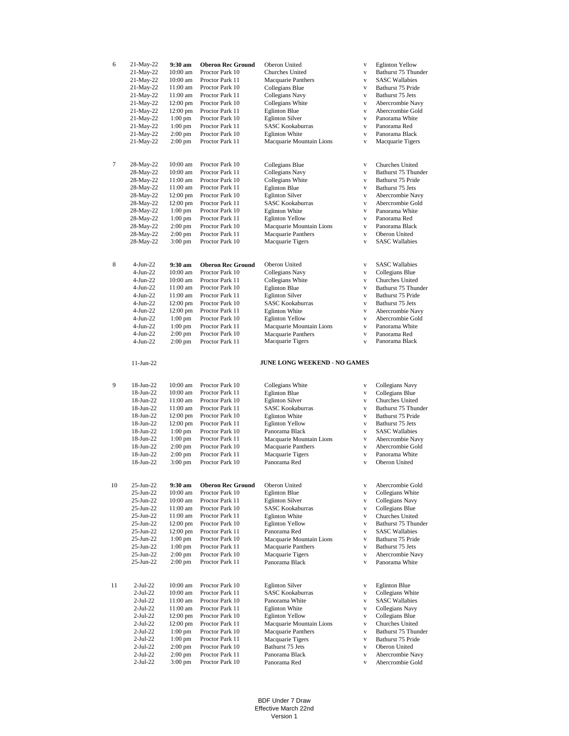| 6  | 21-May-22                 | 9:30 am                | <b>Oberon Rec Ground</b>           | Oberon United                  | $\mathbf{V}$      | <b>Eglinton Yellow</b>               |
|----|---------------------------|------------------------|------------------------------------|--------------------------------|-------------------|--------------------------------------|
|    | 21-May-22                 | 10:00 am               | Proctor Park 10                    | Churches United                | $\mathbf{V}$      | Bathurst 75 Thunder                  |
|    | 21-May-22                 | 10:00 am               | Proctor Park 11                    | Macquarie Panthers             | $\mathbf{V}$      | <b>SASC Wallabies</b>                |
|    | 21-May-22                 | 11:00 am               | Proctor Park 10                    | Collegians Blue                | $\mathbf{V}$      | Bathurst 75 Pride                    |
|    | 21-May-22                 | 11:00 am               | Proctor Park 11                    | Collegians Navy                | $\mathbf{V}$      | Bathurst 75 Jets                     |
|    | 21-May-22                 | 12:00 pm               | Proctor Park 10                    | Collegians White               | $\mathbf{V}$      | Abercrombie Navy                     |
|    | 21-May-22                 | 12:00 pm               | Proctor Park 11                    | <b>Eglinton Blue</b>           | $\mathbf{V}$      | Abercrombie Gold                     |
|    | 21-May-22                 | $1:00$ pm              | Proctor Park 10                    | <b>Eglinton Silver</b>         | $\mathbf{V}$      | Panorama White                       |
|    | 21-May-22                 | $1:00$ pm              | Proctor Park 11                    | <b>SASC Kookaburras</b>        | $\mathbf{V}$      | Panorama Red                         |
|    | 21-May-22                 | $2:00$ pm              | Proctor Park 10                    | <b>Eglinton White</b>          | $\mathbf{V}$      | Panorama Black                       |
|    | 21-May-22                 | $2:00 \text{ pm}$      | Proctor Park 11                    | Macquarie Mountain Lions       | $\mathbf{V}$      | Macquarie Tigers                     |
|    |                           |                        |                                    |                                |                   |                                      |
|    |                           |                        |                                    |                                |                   |                                      |
| 7  | 28-May-22                 | 10:00 am               | Proctor Park 10                    | Collegians Blue                | $\mathbf{V}$      | Churches United                      |
|    | 28-May-22                 | 10:00 am               | Proctor Park 11                    | Collegians Navy                | $\mathbf{V}$      | Bathurst 75 Thunder                  |
|    | 28-May-22                 | 11:00 am               | Proctor Park 10                    | Collegians White               | $\mathbf{v}$      | Bathurst 75 Pride                    |
|    | 28-May-22                 | 11:00 am               | Proctor Park 11                    | <b>Eglinton Blue</b>           | $\mathbf{V}$      | Bathurst 75 Jets                     |
|    | 28-May-22                 | 12:00 pm               | Proctor Park 10                    | <b>Eglinton Silver</b>         | $\mathbf{V}$      | Abercrombie Navy                     |
|    | 28-May-22                 | 12:00 pm               | Proctor Park 11                    | <b>SASC Kookaburras</b>        | $\mathbf{V}$      | Abercrombie Gold                     |
|    | 28-May-22                 | $1:00$ pm              | Proctor Park 10                    | <b>Eglinton White</b>          | $\mathbf{v}$      | Panorama White                       |
|    | 28-May-22                 | $1:00$ pm              | Proctor Park 11                    | <b>Eglinton Yellow</b>         | $\mathbf{V}$      | Panorama Red                         |
|    | 28-May-22                 | $2:00$ pm              | Proctor Park 10                    | Macquarie Mountain Lions       | $\mathbf{V}$      | Panorama Black                       |
|    | 28-May-22                 | $2:00$ pm              | Proctor Park 11                    | Macquarie Panthers             | $\mathbf{V}$      | Oberon United                        |
|    | 28-May-22                 | $3:00 \text{ pm}$      | Proctor Park 10                    | Macquarie Tigers               | $\mathbf{v}$      | <b>SASC Wallabies</b>                |
|    |                           |                        |                                    |                                |                   |                                      |
| 8  | $4-Jun-22$                | 9:30 am                | <b>Oberon Rec Ground</b>           | Oberon United                  | $\mathbf{V}$      | <b>SASC Wallabies</b>                |
|    | $4-Jun-22$                | 10:00 am               | Proctor Park 10                    | Collegians Navy                | $\mathbf{V}$      | Collegians Blue                      |
|    | $4-Jun-22$                | 10:00 am               | Proctor Park 11                    | Collegians White               | $\mathbf{V}$      | Churches United                      |
|    | $4-Jun-22$                | 11:00 am               | Proctor Park 10                    | <b>Eglinton Blue</b>           | $\mathbf{V}$      | Bathurst 75 Thunder                  |
|    | $4-Jun-22$                | 11:00 am               | Proctor Park 11                    | <b>Eglinton Silver</b>         | $\mathbf{V}$      | Bathurst 75 Pride                    |
|    | 4-Jun-22                  | 12:00 pm               | Proctor Park 10                    | <b>SASC Kookaburras</b>        | $\mathbf{V}$      | Bathurst 75 Jets                     |
|    | 4-Jun-22                  | 12:00 pm               | Proctor Park 11                    | <b>Eglinton White</b>          | $\mathbf{V}$      | Abercrombie Navy                     |
|    | $4-Jun-22$                | $1:00$ pm              | Proctor Park 10                    | <b>Eglinton Yellow</b>         | $\mathbf{v}$      | Abercrombie Gold                     |
|    | $4-Jun-22$                | $1:00$ pm              | Proctor Park 11                    | Macquarie Mountain Lions       | $\mathbf{V}$      | Panorama White                       |
|    | $4-Jun-22$                | 2:00 pm                | Proctor Park 10                    | Macquarie Panthers             | $\mathbf{V}$      | Panorama Red                         |
|    | $4-Jun-22$                | $2:00$ pm              | Proctor Park 11                    | Macquarie Tigers               | $\mathbf{v}$      | Panorama Black                       |
|    |                           |                        |                                    |                                |                   |                                      |
|    | $11-Jun-22$               |                        |                                    | JUNE LONG WEEKEND - NO GAMES   |                   |                                      |
|    |                           |                        |                                    |                                |                   |                                      |
|    |                           |                        |                                    |                                |                   |                                      |
| 9  | 18-Jun-22                 | 10:00 am               | Proctor Park 10                    | Collegians White               | $\mathbf{V}$      | Collegians Navy                      |
|    | 18-Jun-22                 | 10:00 am               | Proctor Park 11                    | <b>Eglinton Blue</b>           | $\mathbf{V}$      | Collegians Blue                      |
|    | 18-Jun-22                 | 11:00 am               | Proctor Park 10                    | <b>Eglinton Silver</b>         | ${\bf V}$         | Churches United                      |
|    | 18-Jun-22                 | 11:00 am               | Proctor Park 11                    | <b>SASC Kookaburras</b>        | $\mathbf{V}$      | Bathurst 75 Thunder                  |
|    | 18-Jun-22                 | 12:00 pm               | Proctor Park 10                    | <b>Eglinton White</b>          | $\mathbf{V}$      | Bathurst 75 Pride                    |
|    | 18-Jun-22                 | 12:00 pm               | Proctor Park 11                    | <b>Eglinton Yellow</b>         | $\mathbf{V}$      | Bathurst 75 Jets                     |
|    | 18-Jun-22                 | $1:00$ pm              | Proctor Park 10                    | Panorama Black                 | $\mathbf{V}$      | <b>SASC Wallabies</b>                |
|    | 18-Jun-22                 | $1:00$ pm              | Proctor Park 11                    | Macquarie Mountain Lions       | $\mathbf{V}$      | Abercrombie Navy                     |
|    | 18-Jun-22                 | $2:00$ pm              | Proctor Park 10                    | Macquarie Panthers             | $\mathbf{V}$      | Abercrombie Gold                     |
|    | 18-Jun-22                 | $2:00$ pm              | Proctor Park 11                    | Macquarie Tigers               | $\mathbf{V}$      | Panorama White                       |
|    | 18-Jun-22                 | $3:00$ pm              | Proctor Park 10                    | Panorama Red                   | $\mathbf{v}$      | Oberon United                        |
|    |                           |                        |                                    |                                |                   |                                      |
| 10 | $25-Jun-22$               | 9:30 am                | <b>Oberon Rec Ground</b>           | Oberon United                  | $\mathbf{V}$      | Abercrombie Gold                     |
|    | 25-Jun-22                 | 10:00 am               | Proctor Park 10                    | <b>Eglinton Blue</b>           | $\mathbf{V}$      | Collegians White                     |
|    | $25$ -Jun- $22$           | 10:00 am               | Proctor Park 11                    | <b>Eglinton Silver</b>         | $\mathbf{V}$      | Collegians Navy                      |
|    | 25-Jun-22                 | 11:00 am               | Proctor Park 10                    | <b>SASC Kookaburras</b>        | $\mathbf{V}$      | Collegians Blue                      |
|    | $25-Jun-22$               | 11:00 am               | Proctor Park 11                    | <b>Eglinton White</b>          | $\mathbf{V}$      | Churches United                      |
|    | $25-Jun-22$               | 12:00 pm               | Proctor Park 10                    | <b>Eglinton Yellow</b>         | $\mathbf{V}$      | Bathurst 75 Thunder                  |
|    | $25-Jun-22$               | 12:00 pm               | Proctor Park 11                    | Panorama Red                   | $\mathbf{V}$      | <b>SASC Wallabies</b>                |
|    | $25-Jun-22$               | $1:00$ pm              | Proctor Park 10                    | Macquarie Mountain Lions       | $\mathbf{V}$      | Bathurst 75 Pride                    |
|    | $25-Jun-22$               | $1:00$ pm              | Proctor Park 11                    | Macquarie Panthers             | $\mathbf{V}$      | Bathurst 75 Jets                     |
|    | $25-Jun-22$               | $2:00$ pm              | Proctor Park 10                    | Macquarie Tigers               | $\mathbf{V}$      | Abercrombie Navy                     |
|    | $25-Jun-22$               | $2:00$ pm              | Proctor Park 11                    | Panorama Black                 | $\mathbf{V}$      | Panorama White                       |
|    |                           |                        |                                    |                                |                   |                                      |
| 11 | $2-Jul-22$                | 10:00 am               | Proctor Park 10                    | <b>Eglinton Silver</b>         | $\mathbf{V}$      | <b>Eglinton Blue</b>                 |
|    | $2$ -Jul-22               | 10:00 am               | Proctor Park 11                    | <b>SASC Kookaburras</b>        | $\mathbf{V}$      | Collegians White                     |
|    | $2$ -Jul-22               | 11:00 am               | Proctor Park 10                    | Panorama White                 | $\mathbf{V}$      | <b>SASC Wallabies</b>                |
|    | $2$ -Jul-22               | 11:00 am               | Proctor Park 11                    | <b>Eglinton White</b>          | $\mathbf{V}$      | Collegians Navy                      |
|    | $2$ -Jul-22               | 12:00 pm               | Proctor Park 10                    | <b>Eglinton Yellow</b>         | $\mathbf{V}$      | Collegians Blue                      |
|    | $2$ -Jul-22               | 12:00 pm               | Proctor Park 11                    | Macquarie Mountain Lions       | $\mathbf{V}$      | Churches United                      |
|    | $2$ -Jul-22               | $1:00$ pm              | Proctor Park 10                    | Macquarie Panthers             | $\mathbf{V}$      | Bathurst 75 Thunder                  |
|    | $2-Jul-22$                | $1:00$ pm              | Proctor Park 11                    | Macquarie Tigers               | $\mathbf{V}$      | Bathurst 75 Pride                    |
|    | $2-Jul-22$                | $2:00$ pm              | Proctor Park 10                    | Bathurst 75 Jets               | $\mathbf{V}$      | Oberon United                        |
|    | $2$ -Jul-22<br>$2-Jul-22$ | $2:00$ pm<br>$3:00$ pm | Proctor Park 11<br>Proctor Park 10 | Panorama Black<br>Panorama Red | $\mathbf{V}$<br>V | Abercrombie Navy<br>Abercrombie Gold |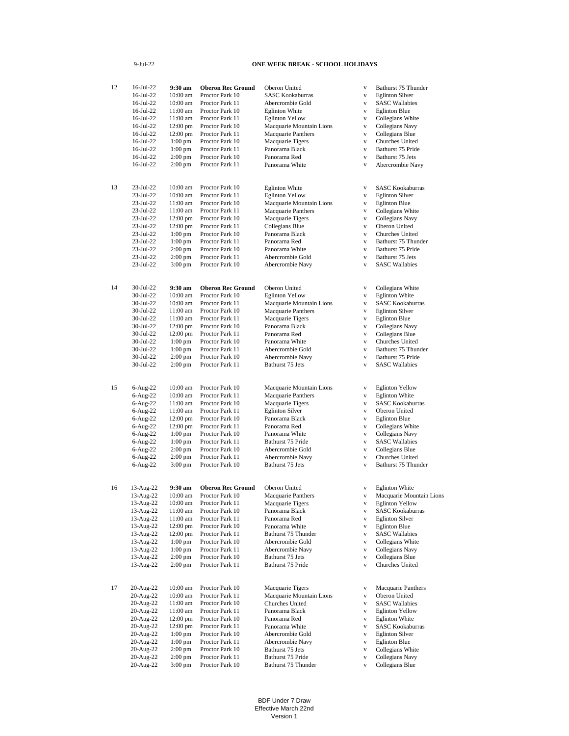## 9-Jul-22

## **ONE WEEK BREAK - SCHOOL HOLIDAYS**

| 12 | 16-Jul-22   | 9:30 am            | <b>Oberon Rec Ground</b> | Oberon United            | V            | Bathurst 75 Thunder      |
|----|-------------|--------------------|--------------------------|--------------------------|--------------|--------------------------|
|    | 16-Jul-22   | 10:00 am           | Proctor Park 10          | <b>SASC Kookaburras</b>  | V            | <b>Eglinton Silver</b>   |
|    | 16-Jul-22   | 10:00 am           | Proctor Park 11          | Abercrombie Gold         | V            | <b>SASC Wallabies</b>    |
|    | 16-Jul-22   | 11:00 am           | Proctor Park 10          | <b>Eglinton White</b>    | V            | <b>Eglinton Blue</b>     |
|    |             |                    |                          |                          |              |                          |
|    | 16-Jul-22   | 11:00 am           | Proctor Park 11          | <b>Eglinton Yellow</b>   | V            | Collegians White         |
|    | 16-Jul-22   | $12:00 \text{ pm}$ | Proctor Park 10          | Macquarie Mountain Lions | V            | Collegians Navy          |
|    | 16-Jul-22   | $12:00$ pm         | Proctor Park 11          | Macquarie Panthers       | V            | Collegians Blue          |
|    |             |                    |                          |                          |              |                          |
|    | 16-Jul-22   | $1:00$ pm          | Proctor Park 10          | Macquarie Tigers         | $\mathbf{V}$ | Churches United          |
|    | 16-Jul-22   | $1:00$ pm          | Proctor Park 11          | Panorama Black           | V            | Bathurst 75 Pride        |
|    | 16-Jul-22   | $2:00 \text{ pm}$  | Proctor Park 10          | Panorama Red             | V            | Bathurst 75 Jets         |
|    | 16-Jul-22   | $2:00 \text{ pm}$  | Proctor Park 11          | Panorama White           | V            | Abercrombie Navy         |
|    |             |                    |                          |                          |              |                          |
|    |             |                    |                          |                          |              |                          |
| 13 | 23-Jul-22   | 10:00 am           | Proctor Park 10          | <b>Eglinton White</b>    | V            | <b>SASC Kookaburras</b>  |
|    | 23-Jul-22   | 10:00 am           | Proctor Park 11          | <b>Eglinton Yellow</b>   | V            | <b>Eglinton Silver</b>   |
|    | 23-Jul-22   | 11:00 am           | Proctor Park 10          | Macquarie Mountain Lions | V            | <b>Eglinton Blue</b>     |
|    |             |                    |                          |                          |              |                          |
|    | 23-Jul-22   | 11:00 am           | Proctor Park 11          | Macquarie Panthers       | $\mathbf{V}$ | Collegians White         |
|    | 23-Jul-22   | $12:00$ pm         | Proctor Park 10          | Macquarie Tigers         | V            | Collegians Navy          |
|    | 23-Jul-22   | $12:00$ pm         | Proctor Park 11          | Collegians Blue          | V            | Oberon United            |
|    | 23-Jul-22   | $1:00$ pm          | Proctor Park 10          | Panorama Black           | $\mathbf{V}$ | Churches United          |
|    |             |                    |                          |                          |              |                          |
|    | 23-Jul-22   | $1:00$ pm          | Proctor Park 11          | Panorama Red             | $\mathbf{V}$ | Bathurst 75 Thunder      |
|    | 23-Jul-22   | $2:00$ pm          | Proctor Park 10          | Panorama White           | V            | Bathurst 75 Pride        |
|    | 23-Jul-22   | $2:00$ pm          | Proctor Park 11          | Abercrombie Gold         | V            | Bathurst 75 Jets         |
|    |             |                    |                          |                          |              |                          |
|    | 23-Jul-22   | $3:00$ pm          | Proctor Park 10          | Abercrombie Navy         | V            | <b>SASC Wallabies</b>    |
|    |             |                    |                          |                          |              |                          |
| 14 | 30-Jul-22   | 9:30 am            | <b>Oberon Rec Ground</b> | Oberon United            | V            | Collegians White         |
|    | 30-Jul-22   | 10:00 am           | Proctor Park 10          | <b>Eglinton Yellow</b>   | V            | <b>Eglinton White</b>    |
|    |             |                    |                          |                          |              |                          |
|    | 30-Jul-22   | 10:00 am           | Proctor Park 11          | Macquarie Mountain Lions | V            | <b>SASC Kookaburras</b>  |
|    | 30-Jul-22   | 11:00 am           | Proctor Park 10          | Macquarie Panthers       | V            | <b>Eglinton Silver</b>   |
|    | 30-Jul-22   | 11:00 am           | Proctor Park 11          | Macquarie Tigers         | V            | <b>Eglinton Blue</b>     |
|    | 30-Jul-22   | 12:00 pm           | Proctor Park 10          | Panorama Black           | V            |                          |
|    |             |                    |                          |                          |              | Collegians Navy          |
|    | 30-Jul-22   | $12:00$ pm         | Proctor Park 11          | Panorama Red             | $\mathbf{V}$ | Collegians Blue          |
|    | 30-Jul-22   | $1:00$ pm          | Proctor Park 10          | Panorama White           | V            | Churches United          |
|    | 30-Jul-22   | $1:00$ pm          | Proctor Park 11          | Abercrombie Gold         | V            | Bathurst 75 Thunder      |
|    |             |                    |                          |                          |              |                          |
|    | 30-Jul-22   | $2:00$ pm          | Proctor Park 10          | Abercrombie Navy         | V            | Bathurst 75 Pride        |
|    | 30-Jul-22   | $2:00$ pm          | Proctor Park 11          | Bathurst 75 Jets         | V            | <b>SASC Wallabies</b>    |
|    |             |                    |                          |                          |              |                          |
| 15 | $6$ -Aug-22 | 10:00 am           | Proctor Park 10          | Macquarie Mountain Lions | V            | <b>Eglinton Yellow</b>   |
|    | 6-Aug-22    | $10:00$ am         | Proctor Park 11          | Macquarie Panthers       | V            | <b>Eglinton White</b>    |
|    |             |                    |                          |                          |              |                          |
|    | 6-Aug-22    | 11:00 am           | Proctor Park 10          | Macquarie Tigers         | $\mathbf{V}$ | <b>SASC Kookaburras</b>  |
|    | 6-Aug-22    | 11:00 am           | Proctor Park 11          | <b>Eglinton Silver</b>   | V            | Oberon United            |
|    | 6-Aug-22    | $12:00$ pm         | Proctor Park 10          | Panorama Black           | V            | <b>Eglinton Blue</b>     |
|    |             |                    |                          |                          |              |                          |
|    | 6-Aug-22    | 12:00 pm           | Proctor Park 11          | Panorama Red             | V            | Collegians White         |
|    | 6-Aug-22    | $1:00$ pm          | Proctor Park 10          | Panorama White           | V            | Collegians Navy          |
|    | 6-Aug-22    | $1:00$ pm          | Proctor Park 11          | Bathurst 75 Pride        | V            | <b>SASC Wallabies</b>    |
|    |             |                    |                          |                          |              |                          |
|    | $6$ -Aug-22 | $2:00$ pm          | Proctor Park 10          | Abercrombie Gold         | V            | Collegians Blue          |
|    | 6-Aug-22    | $2:00$ pm          | Proctor Park 11          | Abercrombie Navy         | V            | <b>Churches United</b>   |
|    | 6-Aug-22    | $3:00$ pm          | Proctor Park 10          | Bathurst 75 Jets         | V            | Bathurst 75 Thunder      |
|    |             |                    |                          |                          |              |                          |
| 16 | 13-Aug-22   | 9:30 am            | <b>Oberon Rec Ground</b> | Oberon United            | V            | <b>Eglinton White</b>    |
|    | 13-Aug-22   | 10:00 am           | Proctor Park 10          | Macquarie Panthers       | V            | Macquarie Mountain Lions |
|    | 13-Aug-22   | 10:00 am           | Proctor Park 11          | Macquarie Tigers         | V            | <b>Eglinton Yellow</b>   |
|    | 13-Aug-22   | 11:00 am           | Proctor Park 10          | Panorama Black           | V            | <b>SASC Kookaburras</b>  |
|    |             |                    |                          | Panorama Red             |              |                          |
|    | 13-Aug-22   | 11:00 am           | Proctor Park 11          |                          | V            | <b>Eglinton Silver</b>   |
|    | 13-Aug-22   | $12:00 \text{ pm}$ | Proctor Park 10          | Panorama White           | V            | <b>Eglinton Blue</b>     |
|    | 13-Aug-22   | $12:00$ pm         | Proctor Park 11          | Bathurst 75 Thunder      | V            | <b>SASC Wallabies</b>    |
|    | 13-Aug-22   | $1:00$ pm          | Proctor Park 10          | Abercrombie Gold         | V            | Collegians White         |
|    |             |                    |                          |                          |              |                          |
|    | 13-Aug-22   | $1:00$ pm          | Proctor Park 11          | Abercrombie Navy         | V            | Collegians Navy          |
|    | 13-Aug-22   | $2:00$ pm          | Proctor Park 10          | Bathurst 75 Jets         | V            | Collegians Blue          |
|    | 13-Aug-22   | $2:00$ pm          | Proctor Park 11          | Bathurst 75 Pride        | V            | Churches United          |
|    |             |                    |                          |                          |              |                          |
| 17 | 20-Aug-22   | 10:00 am           | Proctor Park 10          | Macquarie Tigers         | V            | Macquarie Panthers       |
|    | 20-Aug-22   | 10:00 am           | Proctor Park 11          | Macquarie Mountain Lions | V            | Oberon United            |
|    | 20-Aug-22   | 11:00 am           | Proctor Park 10          | Churches United          | V            | <b>SASC Wallabies</b>    |
|    |             |                    |                          |                          |              |                          |
|    | 20-Aug-22   | 11:00 am           | Proctor Park 11          | Panorama Black           | V            | <b>Eglinton Yellow</b>   |
|    | 20-Aug-22   | $12:00$ pm         | Proctor Park 10          | Panorama Red             | V            | <b>Eglinton White</b>    |
|    | 20-Aug-22   | 12:00 pm           | Proctor Park 11          | Panorama White           | V            | <b>SASC Kookaburras</b>  |
|    | 20-Aug-22   | $1:00$ pm          | Proctor Park 10          | Abercrombie Gold         |              | <b>Eglinton Silver</b>   |
|    |             |                    |                          |                          | V            |                          |
|    | 20-Aug-22   | $1:00$ pm          | Proctor Park 11          | Abercrombie Navy         | V            | <b>Eglinton Blue</b>     |
|    | 20-Aug-22   | $2:00$ pm          | Proctor Park 10          | Bathurst 75 Jets         | V            | Collegians White         |
|    | 20-Aug-22   | $2:00$ pm          | Proctor Park 11          | Bathurst 75 Pride        | V            | Collegians Navy          |
|    |             |                    |                          |                          |              |                          |
|    | 20-Aug-22   | $3:00 \text{ pm}$  | Proctor Park 10          | Bathurst 75 Thunder      | V            | Collegians Blue          |